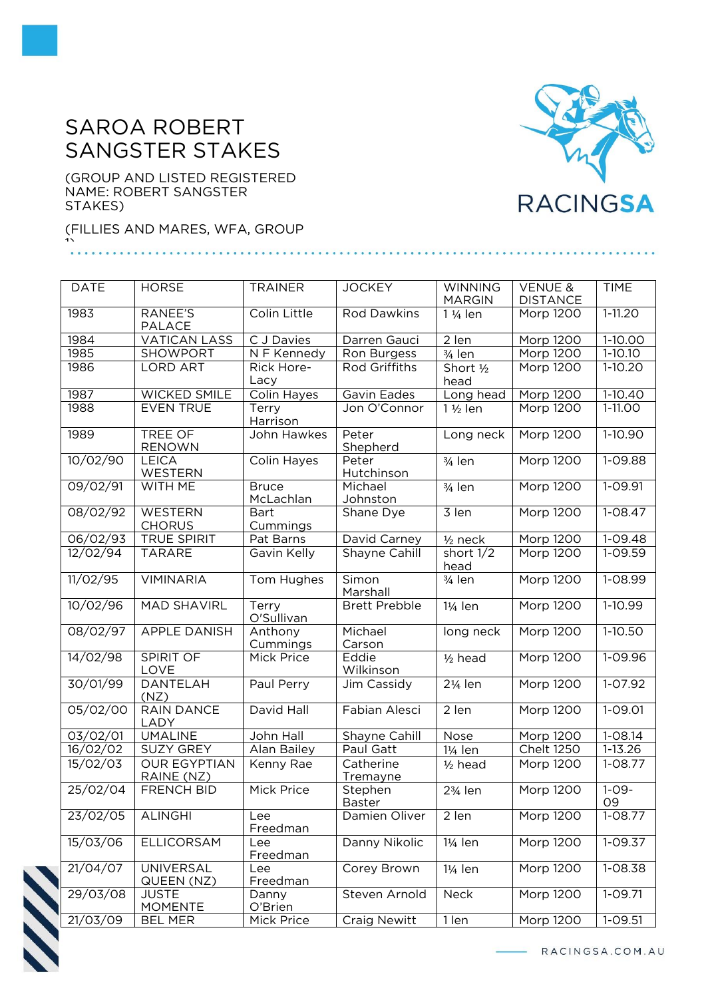## SAROA ROBERT SANGSTER STAKES

(GROUP AND LISTED REGISTERED NAME: ROBERT SANGSTER STAKES)

(FILLIES AND MARES, WFA, GROUP 1)